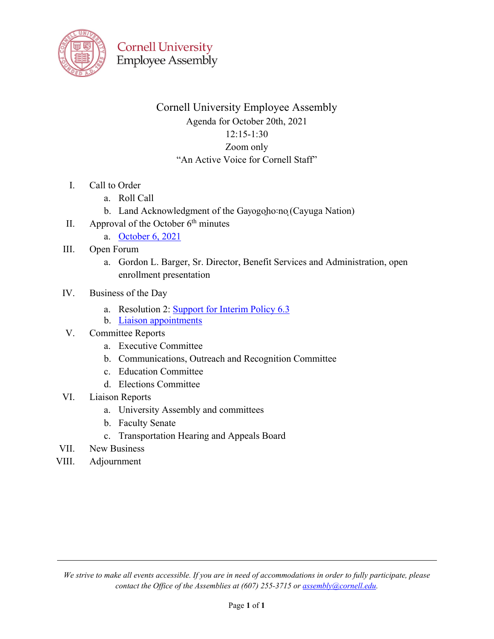

# Cornell University Employee Assembly Agenda for October 20th, 2021 12:15-1:30 Zoom only "An Active Voice for Cornell Staff"

- I. Call to Order
	- a. Roll Call
	- b. Land Acknowledgment of the Gayogoho:no (Cayuga Nation)
- II. Approval of the October  $6<sup>th</sup>$  minutes
	- a. [October 6, 2021](https://cornell.app.box.com/file/874106229595?s=wwyb1n91htwngkuzclmeqwjomvhnh0t9)
- III. Open Forum
	- a. Gordon L. Barger, Sr. Director, Benefit Services and Administration, open enrollment presentation
- IV. Business of the Day
	- a. Resolution 2: [Support for Interim Policy 6.3](https://www.list.cornell.edu/t/125970249/90233244/1236011/1005/)
	- b. [Liaison appointments](https://cornell.app.box.com/file/858397932959?s=uou2wp62ep013hvarllquhzaxvorcv8q)
- V. Committee Reports
	- a. Executive Committee
	- b. Communications, Outreach and Recognition Committee
	- c. Education Committee
	- d. Elections Committee
- VI. Liaison Reports
	- a. University Assembly and committees
	- b. Faculty Senate
	- c. Transportation Hearing and Appeals Board
- VII. New Business
- VIII. Adjournment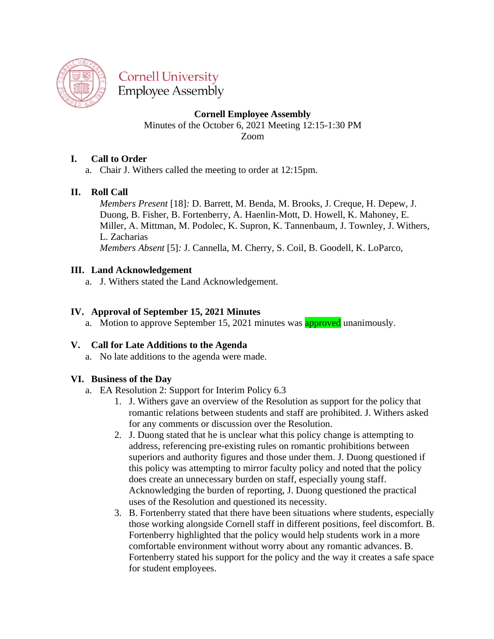

**Cornell University Employee Assembly** 

**Cornell Employee Assembly**

Minutes of the October 6, 2021 Meeting 12:15-1:30 PM Zoom

## **I. Call to Order**

a. Chair J. Withers called the meeting to order at 12:15pm.

## **II. Roll Call**

*Members Present* [18]*:* D. Barrett, M. Benda, M. Brooks, J. Creque, H. Depew, J. Duong, B. Fisher, B. Fortenberry, A. Haenlin-Mott, D. Howell, K. Mahoney, E. Miller, A. Mittman, M. Podolec, K. Supron, K. Tannenbaum, J. Townley, J. Withers, L. Zacharias

*Members Absent* [5]*:* J. Cannella, M. Cherry, S. Coil, B. Goodell, K. LoParco,

## **III. Land Acknowledgement**

a. J. Withers stated the Land Acknowledgement.

## **IV. Approval of September 15, 2021 Minutes**

a. Motion to approve September 15, 2021 minutes was **approved** unanimously.

## **V. Call for Late Additions to the Agenda**

a. No late additions to the agenda were made.

#### **VI. Business of the Day**

- a. EA Resolution 2: Support for Interim Policy 6.3
	- 1. J. Withers gave an overview of the Resolution as support for the policy that romantic relations between students and staff are prohibited. J. Withers asked for any comments or discussion over the Resolution.
	- 2. J. Duong stated that he is unclear what this policy change is attempting to address, referencing pre-existing rules on romantic prohibitions between superiors and authority figures and those under them. J. Duong questioned if this policy was attempting to mirror faculty policy and noted that the policy does create an unnecessary burden on staff, especially young staff. Acknowledging the burden of reporting, J. Duong questioned the practical uses of the Resolution and questioned its necessity.
	- 3. B. Fortenberry stated that there have been situations where students, especially those working alongside Cornell staff in different positions, feel discomfort. B. Fortenberry highlighted that the policy would help students work in a more comfortable environment without worry about any romantic advances. B. Fortenberry stated his support for the policy and the way it creates a safe space for student employees.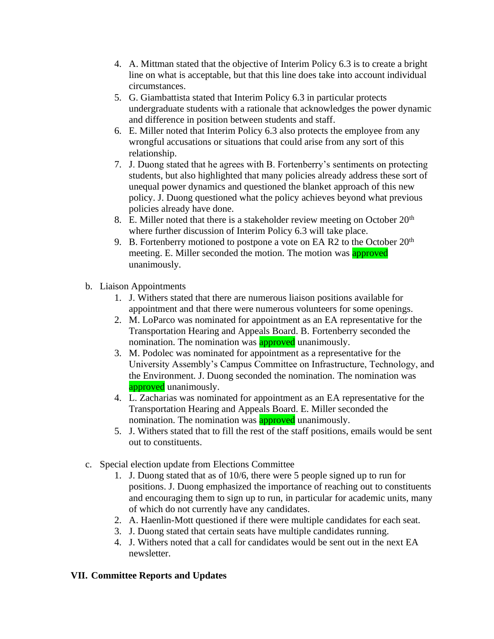- 4. A. Mittman stated that the objective of Interim Policy 6.3 is to create a bright line on what is acceptable, but that this line does take into account individual circumstances.
- 5. G. Giambattista stated that Interim Policy 6.3 in particular protects undergraduate students with a rationale that acknowledges the power dynamic and difference in position between students and staff.
- 6. E. Miller noted that Interim Policy 6.3 also protects the employee from any wrongful accusations or situations that could arise from any sort of this relationship.
- 7. J. Duong stated that he agrees with B. Fortenberry's sentiments on protecting students, but also highlighted that many policies already address these sort of unequal power dynamics and questioned the blanket approach of this new policy. J. Duong questioned what the policy achieves beyond what previous policies already have done.
- 8. E. Miller noted that there is a stakeholder review meeting on October  $20<sup>th</sup>$ where further discussion of Interim Policy 6.3 will take place.
- 9. B. Fortenberry motioned to postpone a vote on EA R2 to the October  $20<sup>th</sup>$ meeting. E. Miller seconded the motion. The motion was **approved** unanimously.
- b. Liaison Appointments
	- 1. J. Withers stated that there are numerous liaison positions available for appointment and that there were numerous volunteers for some openings.
	- 2. M. LoParco was nominated for appointment as an EA representative for the Transportation Hearing and Appeals Board. B. Fortenberry seconded the nomination. The nomination was **approved** unanimously.
	- 3. M. Podolec was nominated for appointment as a representative for the University Assembly's Campus Committee on Infrastructure, Technology, and the Environment. J. Duong seconded the nomination. The nomination was approved unanimously.
	- 4. L. Zacharias was nominated for appointment as an EA representative for the Transportation Hearing and Appeals Board. E. Miller seconded the nomination. The nomination was **approved** unanimously.
	- 5. J. Withers stated that to fill the rest of the staff positions, emails would be sent out to constituents.
- c. Special election update from Elections Committee
	- 1. J. Duong stated that as of 10/6, there were 5 people signed up to run for positions. J. Duong emphasized the importance of reaching out to constituents and encouraging them to sign up to run, in particular for academic units, many of which do not currently have any candidates.
	- 2. A. Haenlin-Mott questioned if there were multiple candidates for each seat.
	- 3. J. Duong stated that certain seats have multiple candidates running.
	- 4. J. Withers noted that a call for candidates would be sent out in the next EA newsletter.

## **VII. Committee Reports and Updates**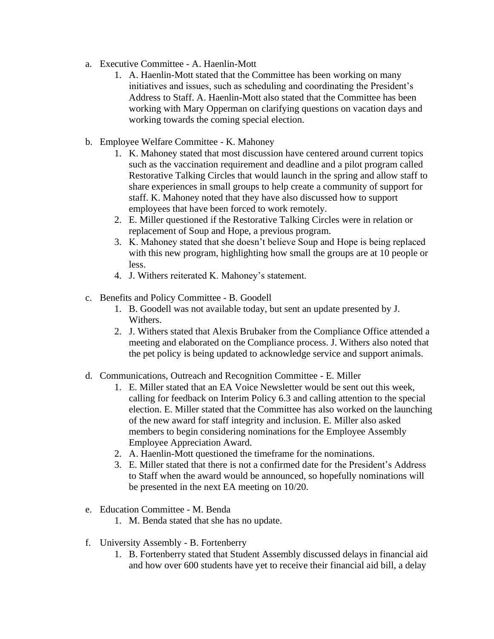- a. Executive Committee A. Haenlin-Mott
	- 1. A. Haenlin-Mott stated that the Committee has been working on many initiatives and issues, such as scheduling and coordinating the President's Address to Staff. A. Haenlin-Mott also stated that the Committee has been working with Mary Opperman on clarifying questions on vacation days and working towards the coming special election.
- b. Employee Welfare Committee K. Mahoney
	- 1. K. Mahoney stated that most discussion have centered around current topics such as the vaccination requirement and deadline and a pilot program called Restorative Talking Circles that would launch in the spring and allow staff to share experiences in small groups to help create a community of support for staff. K. Mahoney noted that they have also discussed how to support employees that have been forced to work remotely.
	- 2. E. Miller questioned if the Restorative Talking Circles were in relation or replacement of Soup and Hope, a previous program.
	- 3. K. Mahoney stated that she doesn't believe Soup and Hope is being replaced with this new program, highlighting how small the groups are at 10 people or less.
	- 4. J. Withers reiterated K. Mahoney's statement.
- c. Benefits and Policy Committee B. Goodell
	- 1. B. Goodell was not available today, but sent an update presented by J. Withers.
	- 2. J. Withers stated that Alexis Brubaker from the Compliance Office attended a meeting and elaborated on the Compliance process. J. Withers also noted that the pet policy is being updated to acknowledge service and support animals.
- d. Communications, Outreach and Recognition Committee E. Miller
	- 1. E. Miller stated that an EA Voice Newsletter would be sent out this week, calling for feedback on Interim Policy 6.3 and calling attention to the special election. E. Miller stated that the Committee has also worked on the launching of the new award for staff integrity and inclusion. E. Miller also asked members to begin considering nominations for the Employee Assembly Employee Appreciation Award.
	- 2. A. Haenlin-Mott questioned the timeframe for the nominations.
	- 3. E. Miller stated that there is not a confirmed date for the President's Address to Staff when the award would be announced, so hopefully nominations will be presented in the next EA meeting on 10/20.
- e. Education Committee M. Benda
	- 1. M. Benda stated that she has no update.
- f. University Assembly B. Fortenberry
	- 1. B. Fortenberry stated that Student Assembly discussed delays in financial aid and how over 600 students have yet to receive their financial aid bill, a delay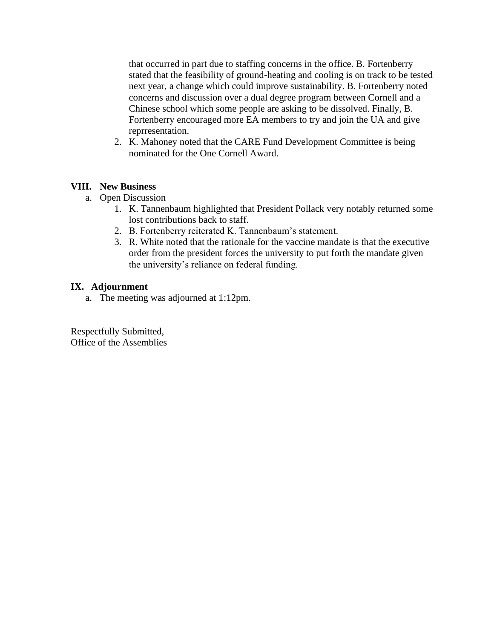that occurred in part due to staffing concerns in the office. B. Fortenberry stated that the feasibility of ground-heating and cooling is on track to be tested next year, a change which could improve sustainability. B. Fortenberry noted concerns and discussion over a dual degree program between Cornell and a Chinese school which some people are asking to be dissolved. Finally, B. Fortenberry encouraged more EA members to try and join the UA and give reprresentation.

2. K. Mahoney noted that the CARE Fund Development Committee is being nominated for the One Cornell Award.

#### **VIII. New Business**

- a. Open Discussion
	- 1. K. Tannenbaum highlighted that President Pollack very notably returned some lost contributions back to staff.
	- 2. B. Fortenberry reiterated K. Tannenbaum's statement.
	- 3. R. White noted that the rationale for the vaccine mandate is that the executive order from the president forces the university to put forth the mandate given the university's reliance on federal funding.

#### **IX. Adjournment**

a. The meeting was adjourned at 1:12pm.

Respectfully Submitted, Office of the Assemblies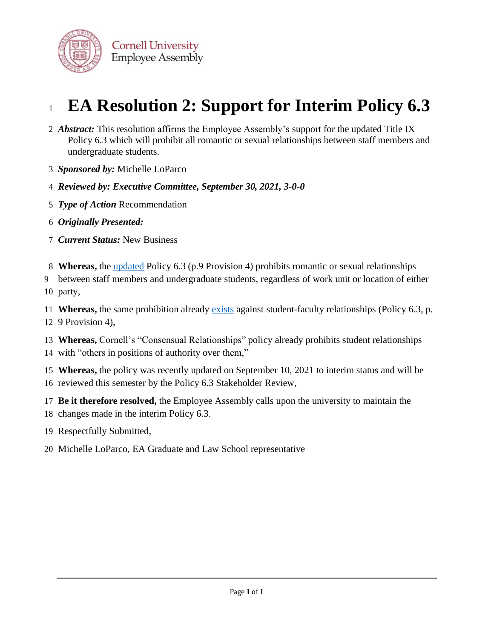

# **EA Resolution 2: Support for Interim Policy 6.3**

- *Abstract:* This resolution affirms the Employee Assembly's support for the updated Title IX Policy 6.3 which will prohibit all romantic or sexual relationships between staff members and undergraduate students.
- *Sponsored by:* Michelle LoParco
- *Reviewed by: Executive Committee, September 30, 2021, 3-0-0*
- *Type of Action* Recommendation
- *Originally Presented:*
- *Current Status:* New Business

**Whereas,** the [updated](https://www.dfa.cornell.edu/sites/default/files/policy/vol6_3.pdf) Policy 6.3 (p.9 Provision 4) prohibits romantic or sexual relationships

 between staff members and undergraduate students, regardless of work unit or location of either party,

 **Whereas,** the same prohibition already [exists](https://www.dfa.cornell.edu/sites/default/files/policy/vol6_3.pdf) against student-faculty relationships (Policy 6.3, p. 9 Provision 4),

 **Whereas,** Cornell's "Consensual Relationships" policy already prohibits student relationships with "others in positions of authority over them,"

 **Whereas,** the policy was recently updated on September 10, 2021 to interim status and will be reviewed this semester by the Policy 6.3 Stakeholder Review,

 **Be it therefore resolved,** the Employee Assembly calls upon the university to maintain the changes made in the interim Policy 6.3.

- Respectfully Submitted,
- Michelle LoParco, EA Graduate and Law School representative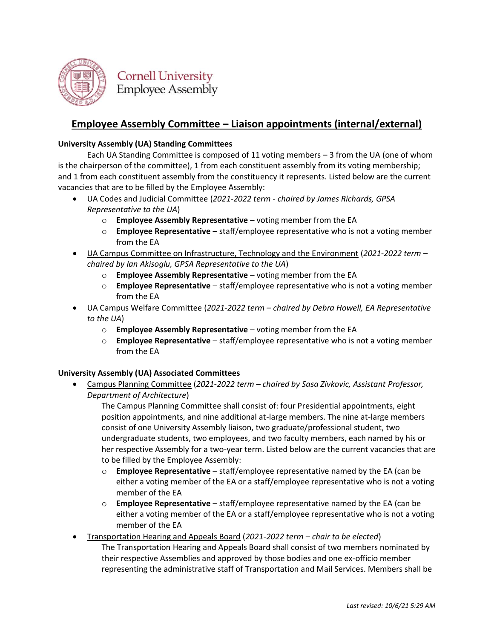

# **Employee Assembly Committee – Liaison appointments (internal/external)**

#### **University Assembly (UA) Standing Committees**

Each UA Standing Committee is composed of 11 voting members – 3 from the UA (one of whom is the chairperson of the committee), 1 from each constituent assembly from its voting membership; and 1 from each constituent assembly from the constituency it represents. Listed below are the current vacancies that are to be filled by the Employee Assembly:

- UA Codes and Judicial Committee (*2021-2022 term - chaired by James Richards, GPSA Representative to the UA*)
	- o **Employee Assembly Representative** voting member from the EA
	- o **Employee Representative** staff/employee representative who is not a voting member from the EA
- UA Campus Committee on Infrastructure, Technology and the Environment (*2021-2022 term – chaired by Ian Akisoglu, GPSA Representative to the UA*)
	- o **Employee Assembly Representative** voting member from the EA
	- o **Employee Representative** staff/employee representative who is not a voting member from the EA
- UA Campus Welfare Committee (*2021-2022 term – chaired by Debra Howell, EA Representative to the UA*)
	- o **Employee Assembly Representative** voting member from the EA
	- o **Employee Representative** staff/employee representative who is not a voting member from the EA

#### **University Assembly (UA) Associated Committees**

• Campus Planning Committee (*2021-2022 term – chaired by Sasa Zivkovic, Assistant Professor, Department of Architecture*)

The Campus Planning Committee shall consist of: four Presidential appointments, eight position appointments, and nine additional at-large members. The nine at-large members consist of one University Assembly liaison, two graduate/professional student, two undergraduate students, two employees, and two faculty members, each named by his or her respective Assembly for a two-year term. Listed below are the current vacancies that are to be filled by the Employee Assembly:

- o **Employee Representative** staff/employee representative named by the EA (can be either a voting member of the EA or a staff/employee representative who is not a voting member of the EA
- o **Employee Representative** staff/employee representative named by the EA (can be either a voting member of the EA or a staff/employee representative who is not a voting member of the EA
- Transportation Hearing and Appeals Board (*2021-2022 term – chair to be elected*) The Transportation Hearing and Appeals Board shall consist of two members nominated by their respective Assemblies and approved by those bodies and one ex-officio member representing the administrative staff of Transportation and Mail Services. Members shall be